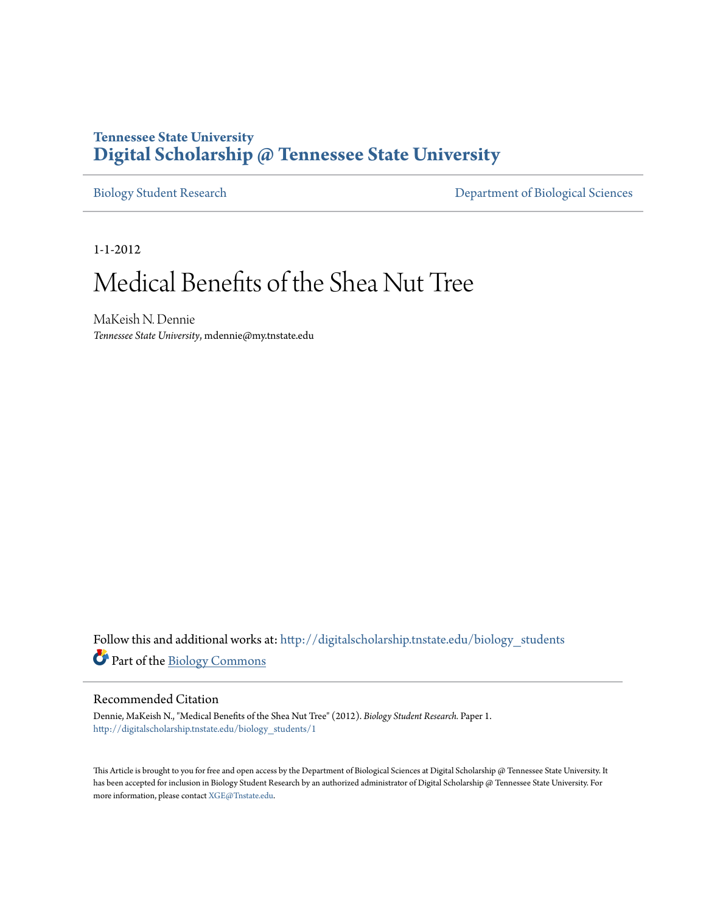## **Tennessee State University [Digital Scholarship @ Tennessee State University](http://digitalscholarship.tnstate.edu?utm_source=digitalscholarship.tnstate.edu%2Fbiology_students%2F1&utm_medium=PDF&utm_campaign=PDFCoverPages)**

[Biology Student Research](http://digitalscholarship.tnstate.edu/biology_students?utm_source=digitalscholarship.tnstate.edu%2Fbiology_students%2F1&utm_medium=PDF&utm_campaign=PDFCoverPages) [Department of Biological Sciences](http://digitalscholarship.tnstate.edu/biology?utm_source=digitalscholarship.tnstate.edu%2Fbiology_students%2F1&utm_medium=PDF&utm_campaign=PDFCoverPages)

1-1-2012

# Medical Benefits of the Shea Nut Tree

MaKeish N. Dennie *Tennessee State University*, mdennie@my.tnstate.edu

Follow this and additional works at: [http://digitalscholarship.tnstate.edu/biology\\_students](http://digitalscholarship.tnstate.edu/biology_students?utm_source=digitalscholarship.tnstate.edu%2Fbiology_students%2F1&utm_medium=PDF&utm_campaign=PDFCoverPages) Part of the [Biology Commons](http://network.bepress.com/hgg/discipline/41?utm_source=digitalscholarship.tnstate.edu%2Fbiology_students%2F1&utm_medium=PDF&utm_campaign=PDFCoverPages)

#### Recommended Citation

Dennie, MaKeish N., "Medical Benefits of the Shea Nut Tree" (2012). *Biology Student Research.* Paper 1. [http://digitalscholarship.tnstate.edu/biology\\_students/1](http://digitalscholarship.tnstate.edu/biology_students/1?utm_source=digitalscholarship.tnstate.edu%2Fbiology_students%2F1&utm_medium=PDF&utm_campaign=PDFCoverPages)

This Article is brought to you for free and open access by the Department of Biological Sciences at Digital Scholarship @ Tennessee State University. It has been accepted for inclusion in Biology Student Research by an authorized administrator of Digital Scholarship @ Tennessee State University. For more information, please contact [XGE@Tnstate.edu](mailto:XGE@Tnstate.edu).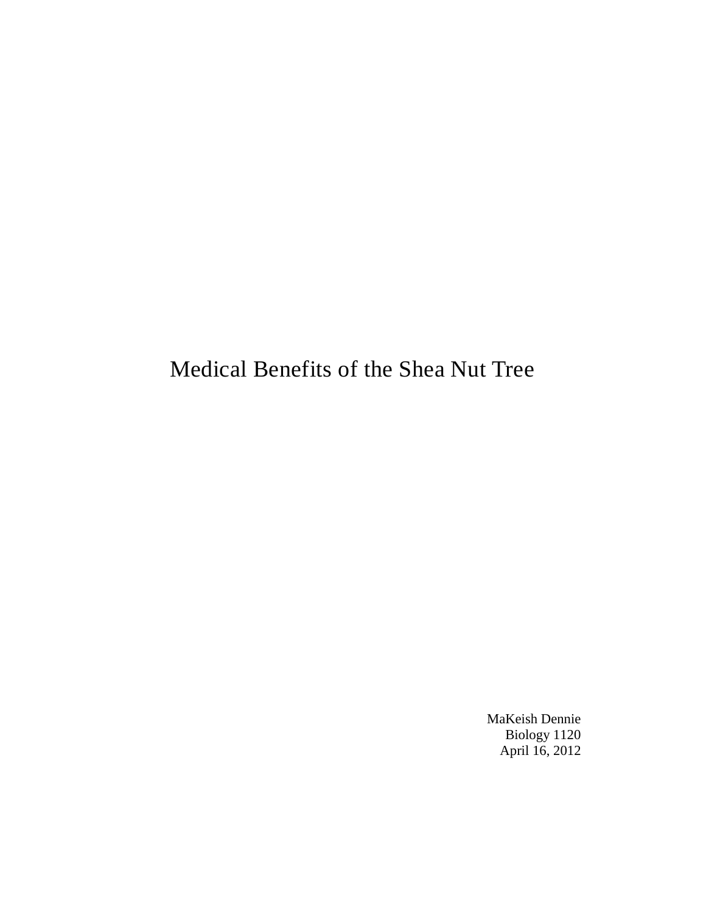# Medical Benefits of the Shea Nut Tree

MaKeish Dennie Biology 1120 April 16, 2012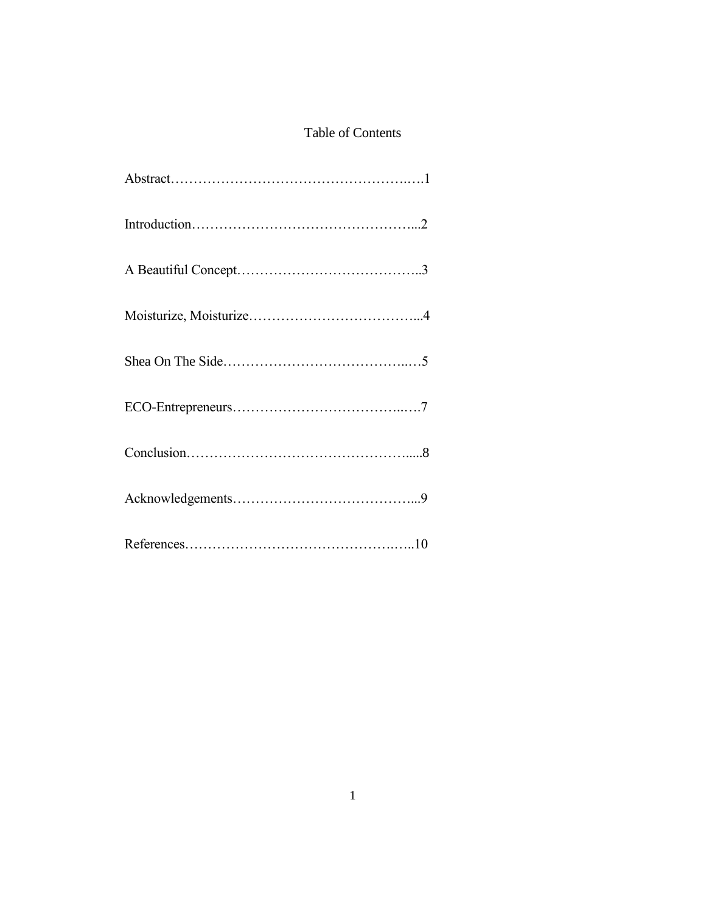#### Table of Contents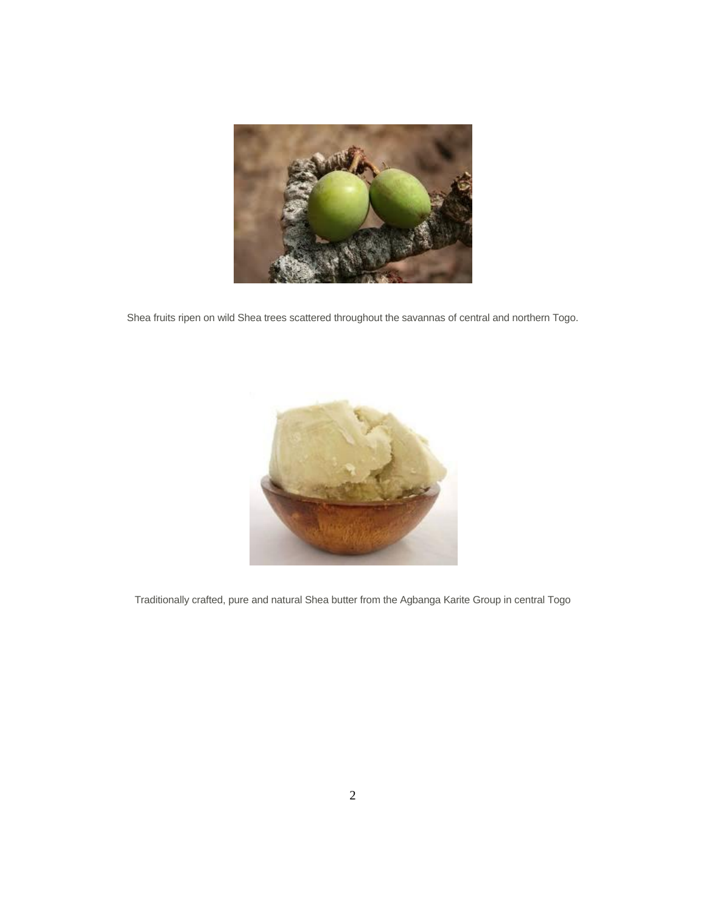

Shea fruits ripen on wild Shea trees scattered throughout the savannas of central and northern Togo.



Traditionally crafted, pure and natural Shea butter from the Agbanga Karite Group in central Togo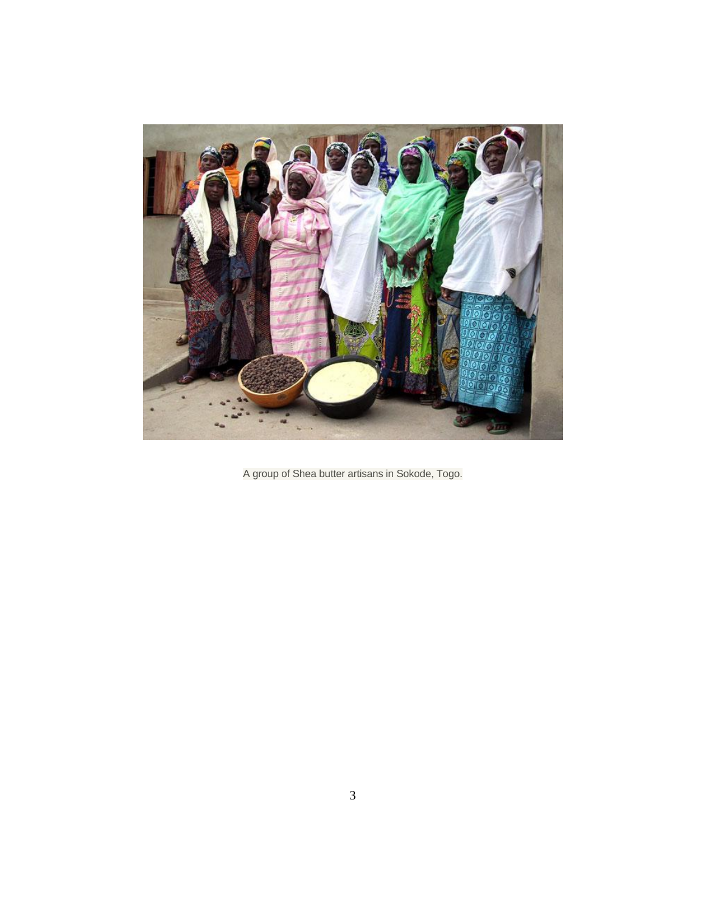

A group of Shea butter artisans in Sokode, Togo.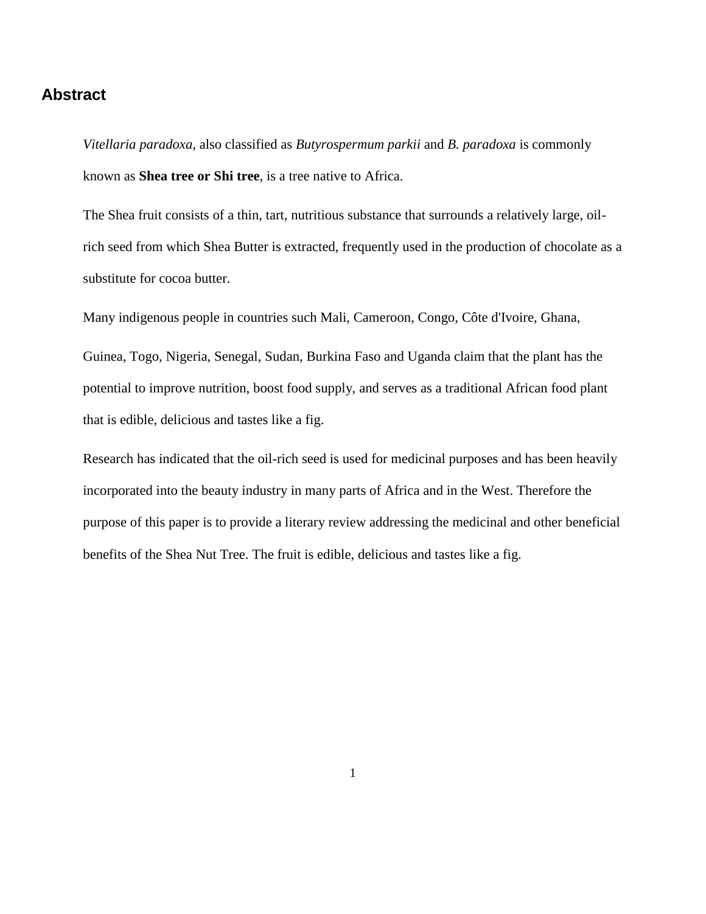#### **Abstract**

*Vitellaria paradoxa*, also classified as *Butyrospermum parkii* and *B. paradoxa* is commonly known as **Shea tree or Shi tree**, is a tree native to [Africa.](http://en.wikipedia.org/wiki/Africa)

The Shea fruit consists of a thin, tart, nutritious substance that surrounds a relatively large, oilrich seed from which Shea Butter is extracted, frequently used in the production of chocolate as a substitute for cocoa butter.

Many indigenous people in countries such [Mali,](http://en.wikipedia.org/wiki/Mali) [Cameroon,](http://en.wikipedia.org/wiki/Cameroon) [Congo,](http://en.wikipedia.org/wiki/Democratic_Republic_of_the_Congo) [Côte d'Ivoire,](http://en.wikipedia.org/wiki/C%C3%B4te_d%27Ivoire) [Ghana,](http://en.wikipedia.org/wiki/Ghana)

[Guinea,](http://en.wikipedia.org/wiki/Guinea) [Togo,](http://en.wikipedia.org/wiki/Togo) [Nigeria,](http://en.wikipedia.org/wiki/Nigeria) [Senegal,](http://en.wikipedia.org/wiki/Senegal) [Sudan,](http://en.wikipedia.org/wiki/Sudan) [Burkina Faso](http://en.wikipedia.org/wiki/Burkina_Faso) and [Uganda](http://en.wikipedia.org/wiki/Uganda) claim that the plant has the potential to improve nutrition, boost food supply, and serves as a traditional African food plant that is edible, delicious and tastes like a fig.

Research has indicated that the oil-rich seed is used for medicinal purposes and has been heavily incorporated into the beauty industry in many parts of Africa and in the West. Therefore the purpose of this paper is to provide a literary review addressing the medicinal and other beneficial benefits of the Shea Nut Tree. The fruit is edible, delicious and tastes like a fig.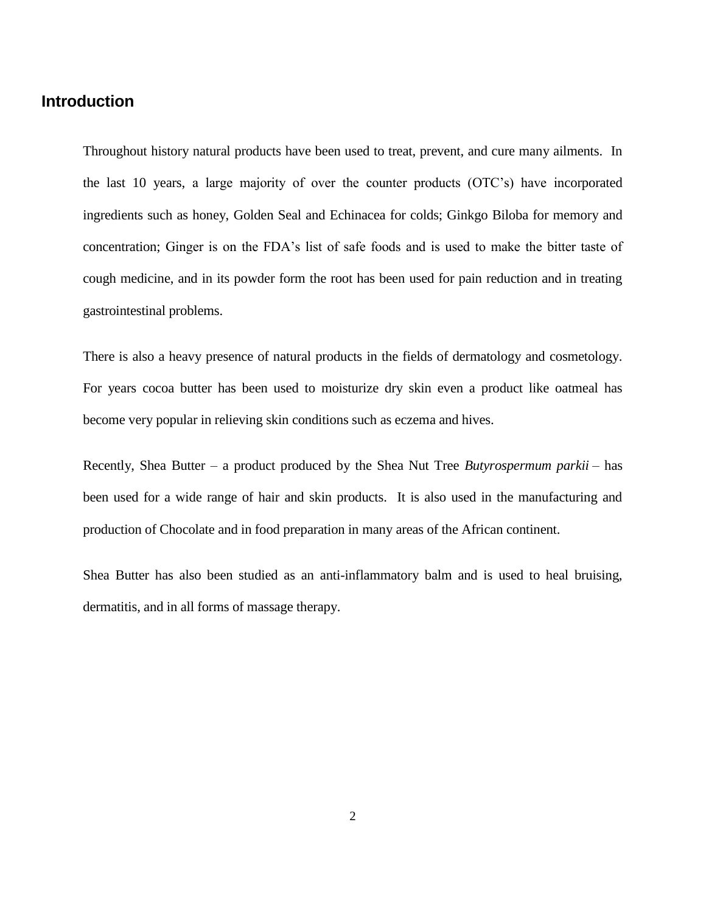#### **Introduction**

Throughout history natural products have been used to treat, prevent, and cure many ailments. In the last 10 years, a large majority of over the counter products (OTC's) have incorporated ingredients such as honey, Golden Seal and Echinacea for colds; Ginkgo Biloba for memory and concentration; Ginger is on the FDA's list of safe foods and is used to make the bitter taste of cough medicine, and in its powder form the root has been used for pain reduction and in treating gastrointestinal problems.

There is also a heavy presence of natural products in the fields of dermatology and cosmetology. For years cocoa butter has been used to moisturize dry skin even a product like oatmeal has become very popular in relieving skin conditions such as eczema and hives.

Recently, Shea Butter – a product produced by the Shea Nut Tree *Butyrospermum parkii* – has been used for a wide range of hair and skin products. It is also used in the manufacturing and production of Chocolate and in food preparation in many areas of the African continent.

Shea Butter has also been studied as an anti-inflammatory balm and is used to heal bruising, dermatitis, and in all forms of massage therapy.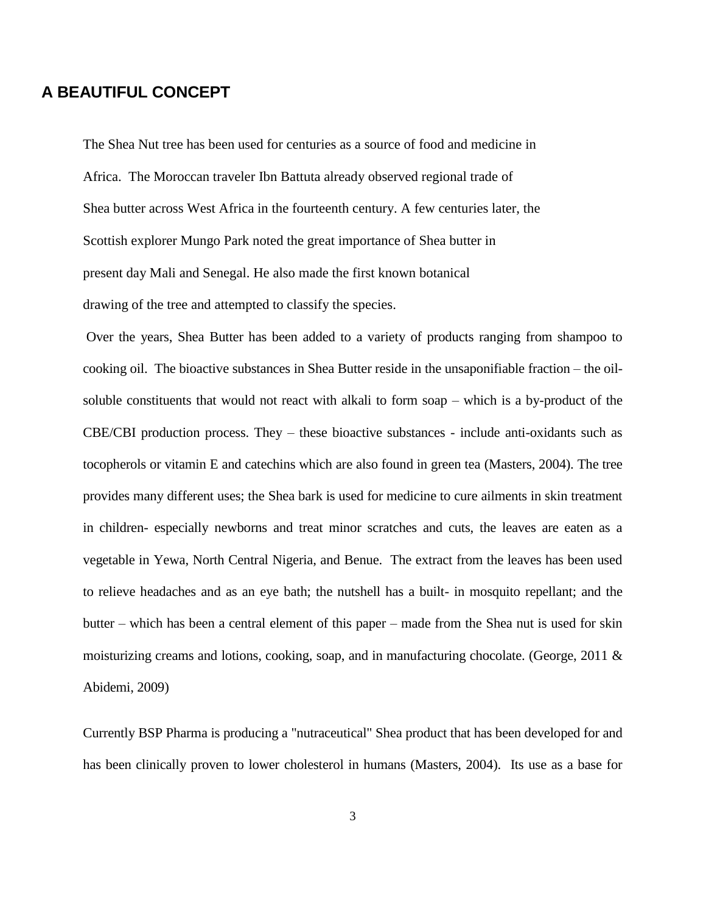## **A BEAUTIFUL CONCEPT**

The Shea Nut tree has been used for centuries as a source of food and medicine in Africa. The Moroccan traveler Ibn Battuta already observed regional trade of Shea butter across West Africa in the fourteenth century. A few centuries later, the Scottish explorer Mungo Park noted the great importance of Shea butter in present day Mali and Senegal. He also made the first known botanical drawing of the tree and attempted to classify the species.

Over the years, Shea Butter has been added to a variety of products ranging from shampoo to cooking oil. The bioactive substances in Shea Butter reside in the unsaponifiable fraction – the oilsoluble constituents that would not react with alkali to form soap – which is a by-product of the CBE/CBI production process. They – these bioactive substances - include anti-oxidants such as tocopherols or vitamin E and catechins which are also found in green tea (Masters, 2004). The tree provides many different uses; the Shea bark is used for medicine to cure ailments in skin treatment in children- especially newborns and treat minor scratches and cuts, the leaves are eaten as a vegetable in Yewa, North Central Nigeria, and Benue. The extract from the leaves has been used to relieve headaches and as an eye bath; the nutshell has a built- in mosquito repellant; and the butter – which has been a central element of this paper – made from the Shea nut is used for skin moisturizing creams and lotions, cooking, soap, and in manufacturing chocolate. (George, 2011 & Abidemi, 2009)

Currently BSP Pharma is producing a "nutraceutical" Shea product that has been developed for and has been clinically proven to lower [cholesterol](http://en.wikipedia.org/wiki/Cholesterol) in humans (Masters, 2004). Its use as a base for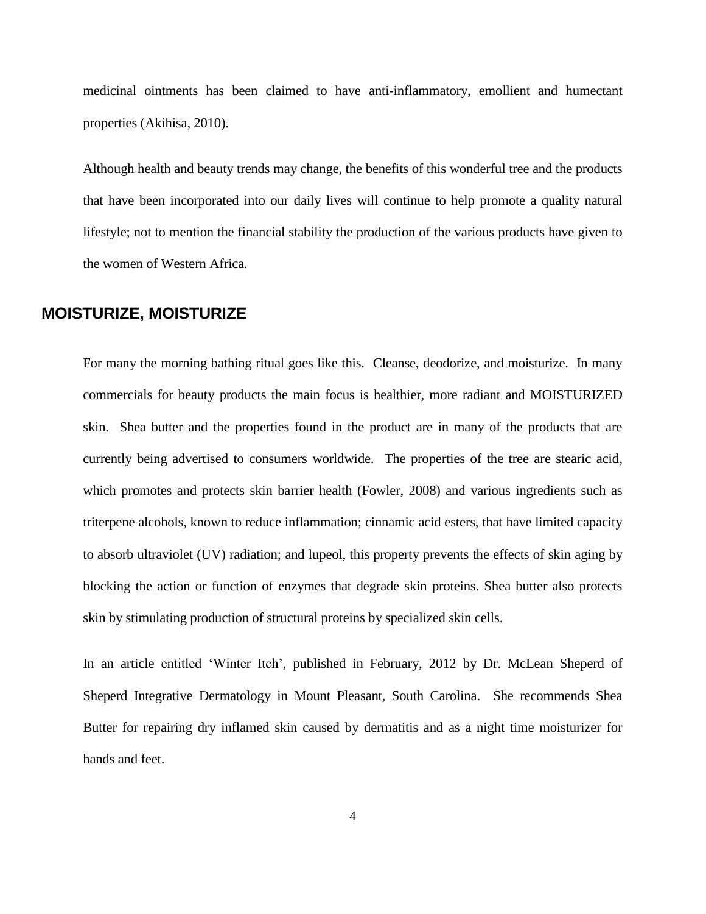medicinal [ointments](http://en.wikipedia.org/wiki/Ointment) has been claimed to have [anti-inflammatory,](http://en.wikipedia.org/wiki/Anti-inflammatory) emollient and [humectant](http://en.wikipedia.org/wiki/Humectant) properties (Akihisa, 2010).

Although health and beauty trends may change, the benefits of this wonderful tree and the products that have been incorporated into our daily lives will continue to help promote a quality natural lifestyle; not to mention the financial stability the production of the various products have given to the women of Western Africa.

### **MOISTURIZE, MOISTURIZE**

For many the morning bathing ritual goes like this. Cleanse, deodorize, and moisturize. In many commercials for beauty products the main focus is healthier, more radiant and MOISTURIZED skin. Shea butter and the properties found in the product are in many of the products that are currently being advertised to consumers worldwide. The properties of the tree are stearic acid, which promotes and protects skin barrier health (Fowler, 2008) and various ingredients such as triterpene alcohols, known to reduce inflammation; cinnamic acid esters, that have limited capacity to absorb ultraviolet (UV) radiation; and lupeol, this property prevents the effects of skin aging by blocking the action or function of enzymes that degrade skin proteins. Shea butter also protects skin by stimulating production of structural proteins by specialized skin cells.

In an article entitled 'Winter Itch', published in February, 2012 by Dr. McLean Sheperd of Sheperd Integrative Dermatology in Mount Pleasant, South Carolina. She recommends Shea Butter for repairing dry inflamed skin caused by dermatitis and as a night time moisturizer for hands and feet.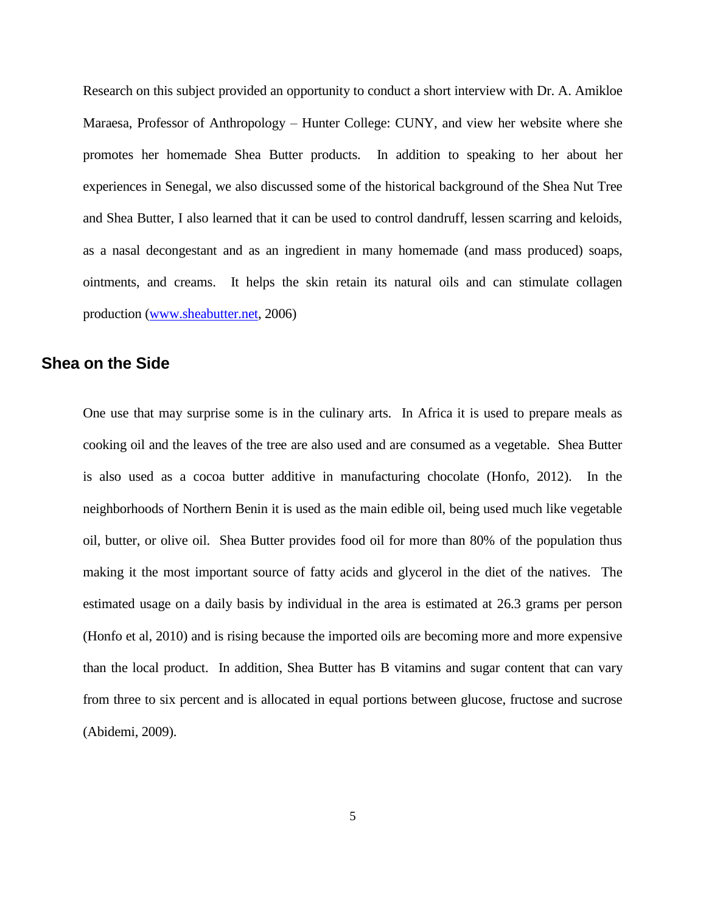Research on this subject provided an opportunity to conduct a short interview with Dr. A. Amikloe Maraesa, Professor of Anthropology – Hunter College: CUNY, and view her website where she promotes her homemade Shea Butter products. In addition to speaking to her about her experiences in Senegal, we also discussed some of the historical background of the Shea Nut Tree and Shea Butter, I also learned that it can be used to control dandruff, lessen scarring and keloids, as a nasal decongestant and as an ingredient in many homemade (and mass produced) soaps, ointments, and creams. It helps the skin retain its natural oils and can stimulate collagen production [\(www.sheabutter.net,](http://www.sheabutter.net/) 2006)

#### **Shea on the Side**

One use that may surprise some is in the culinary arts. In Africa it is used to prepare meals as cooking oil and the leaves of the tree are also used and are consumed as a vegetable. Shea Butter is also used as a cocoa butter additive in manufacturing chocolate (Honfo, 2012). In the neighborhoods of Northern Benin it is used as the main edible oil, being used much like vegetable oil, butter, or olive oil. Shea Butter provides food oil for more than 80% of the population thus making it the most important source of fatty acids and glycerol in the diet of the natives. The estimated usage on a daily basis by individual in the area is estimated at 26.3 grams per person (Honfo et al, 2010) and is rising because the imported oils are becoming more and more expensive than the local product. In addition, Shea Butter has B vitamins and sugar content that can vary from three to six percent and is allocated in equal portions between glucose, fructose and sucrose (Abidemi, 2009).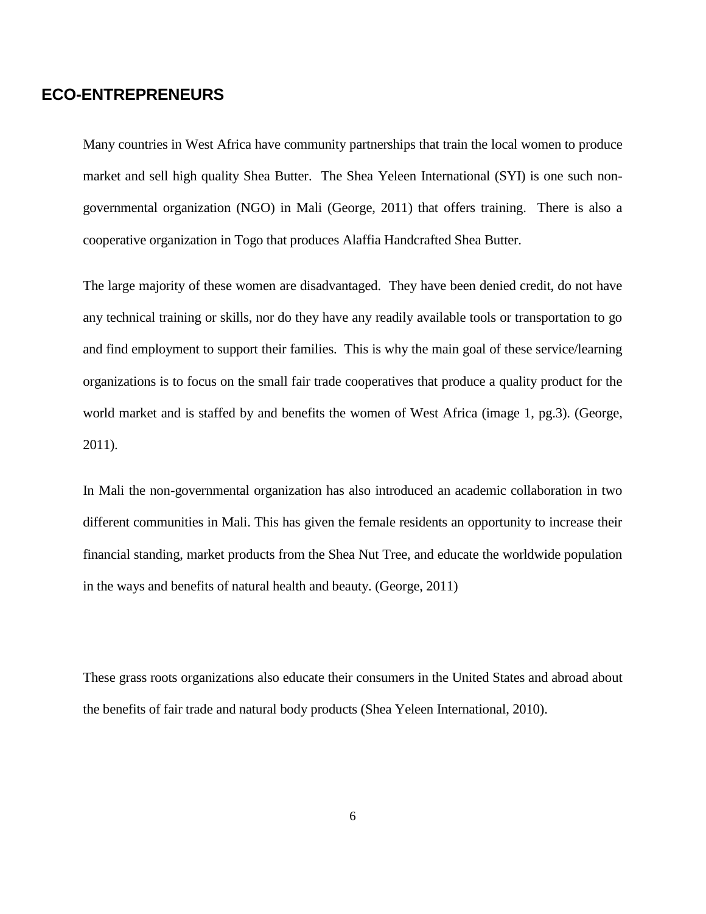### **ECO-ENTREPRENEURS**

Many countries in West Africa have community partnerships that train the local women to produce market and sell high quality Shea Butter. The Shea Yeleen International (SYI) is one such nongovernmental organization (NGO) in Mali (George, 2011) that offers training. There is also a cooperative organization in Togo that produces Alaffia Handcrafted Shea Butter.

The large majority of these women are disadvantaged. They have been denied credit, do not have any technical training or skills, nor do they have any readily available tools or transportation to go and find employment to support their families. This is why the main goal of these service/learning organizations is to focus on the small fair trade cooperatives that produce a quality product for the world market and is staffed by and benefits the women of West Africa (image 1, pg.3). (George, 2011).

In Mali the non-governmental organization has also introduced an academic collaboration in two different communities in Mali. This has given the female residents an opportunity to increase their financial standing, market products from the Shea Nut Tree, and educate the worldwide population in the ways and benefits of natural health and beauty. (George, 2011)

These grass roots organizations also educate their consumers in the United States and abroad about the benefits of fair trade and natural body products (Shea Yeleen International, 2010).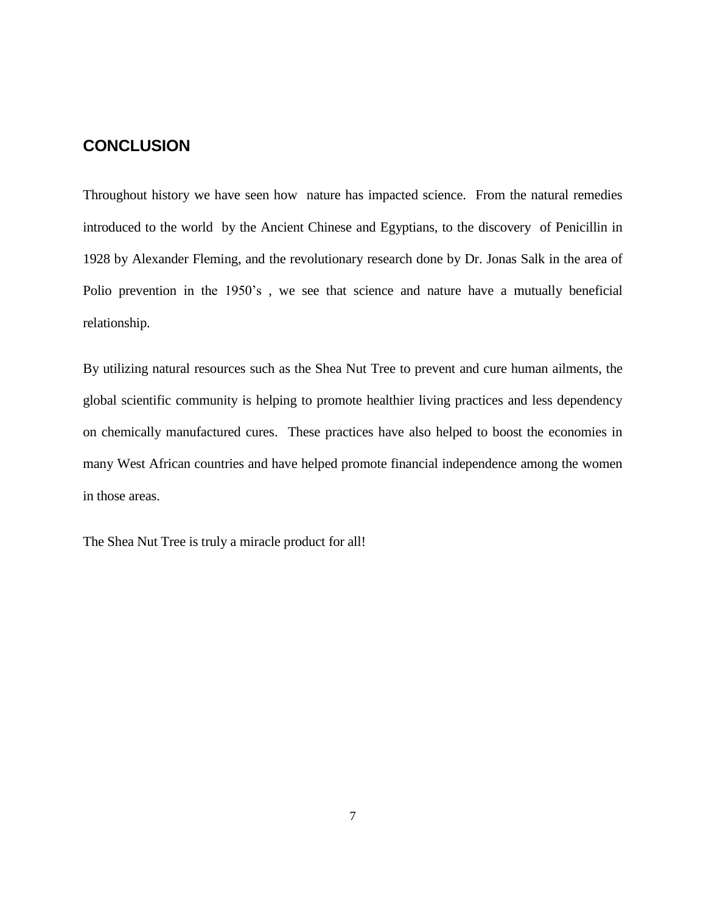#### **CONCLUSION**

Throughout history we have seen how nature has impacted science. From the natural remedies introduced to the world by the Ancient Chinese and Egyptians, to the discovery of Penicillin in 1928 by Alexander Fleming, and the revolutionary research done by Dr. Jonas Salk in the area of Polio prevention in the 1950's , we see that science and nature have a mutually beneficial relationship.

By utilizing natural resources such as the Shea Nut Tree to prevent and cure human ailments, the global scientific community is helping to promote healthier living practices and less dependency on chemically manufactured cures. These practices have also helped to boost the economies in many West African countries and have helped promote financial independence among the women in those areas.

The Shea Nut Tree is truly a miracle product for all!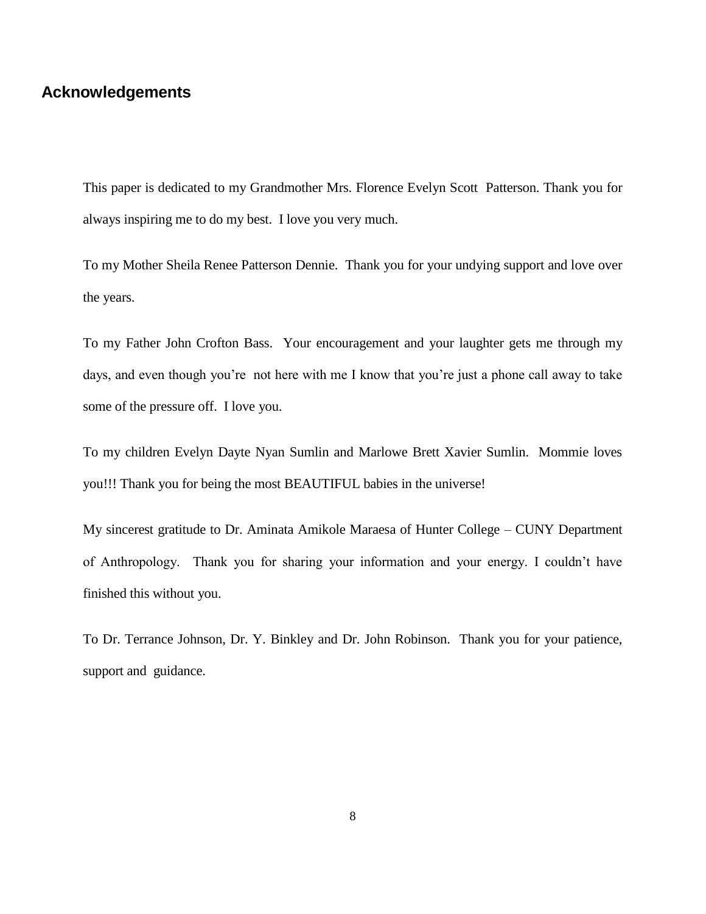#### **Acknowledgements**

This paper is dedicated to my Grandmother Mrs. Florence Evelyn Scott Patterson. Thank you for always inspiring me to do my best. I love you very much.

To my Mother Sheila Renee Patterson Dennie. Thank you for your undying support and love over the years.

To my Father John Crofton Bass. Your encouragement and your laughter gets me through my days, and even though you're not here with me I know that you're just a phone call away to take some of the pressure off. I love you.

To my children Evelyn Dayte Nyan Sumlin and Marlowe Brett Xavier Sumlin. Mommie loves you!!! Thank you for being the most BEAUTIFUL babies in the universe!

My sincerest gratitude to Dr. Aminata Amikole Maraesa of Hunter College – CUNY Department of Anthropology. Thank you for sharing your information and your energy. I couldn't have finished this without you.

To Dr. Terrance Johnson, Dr. Y. Binkley and Dr. John Robinson. Thank you for your patience, support and guidance.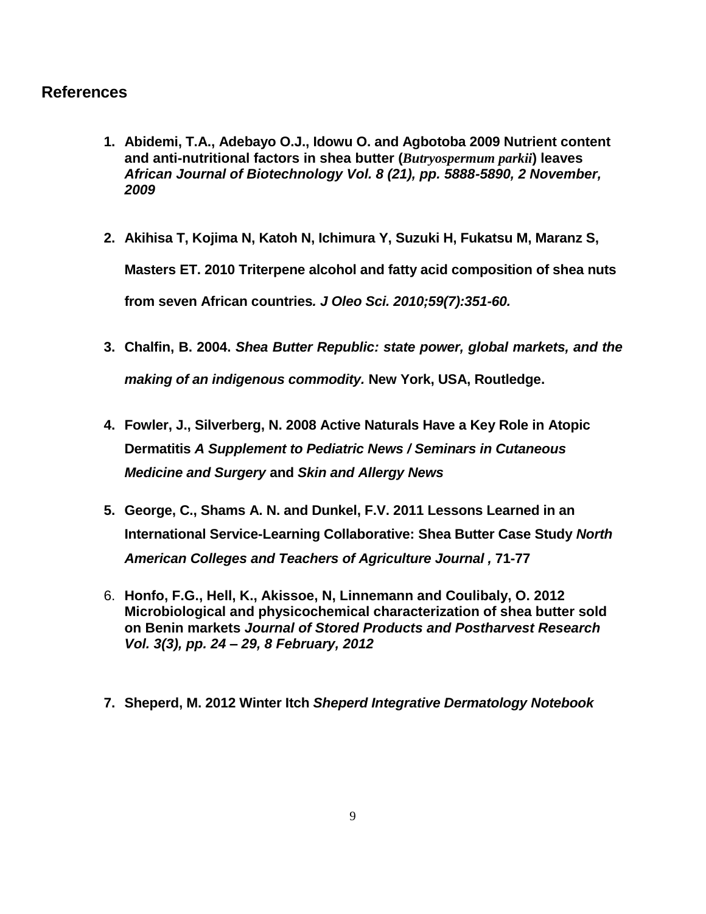### **References**

- **1. Abidemi, T.A., Adebayo O.J., Idowu O. and Agbotoba 2009 Nutrient content and anti-nutritional factors in shea butter (***Butryospermum parkii***) leaves** *African Journal of Biotechnology Vol. 8 (21), pp. 5888-5890, 2 November, 2009*
- **2. [Akihisa T,](http://www.ncbi.nlm.nih.gov/pubmed?term=%22Akihisa%20T%22%5BAuthor%5D) [Kojima N,](http://www.ncbi.nlm.nih.gov/pubmed?term=%22Kojima%20N%22%5BAuthor%5D) [Katoh N,](http://www.ncbi.nlm.nih.gov/pubmed?term=%22Katoh%20N%22%5BAuthor%5D) [Ichimura Y,](http://www.ncbi.nlm.nih.gov/pubmed?term=%22Ichimura%20Y%22%5BAuthor%5D) [Suzuki H,](http://www.ncbi.nlm.nih.gov/pubmed?term=%22Suzuki%20H%22%5BAuthor%5D) [Fukatsu M,](http://www.ncbi.nlm.nih.gov/pubmed?term=%22Fukatsu%20M%22%5BAuthor%5D) [Maranz S,](http://www.ncbi.nlm.nih.gov/pubmed?term=%22Maranz%20S%22%5BAuthor%5D) [Masters ET.](http://www.ncbi.nlm.nih.gov/pubmed?term=%22Masters%20ET%22%5BAuthor%5D) 2010 Triterpene alcohol and fatty acid composition of shea nuts from seven African countries***. [J Oleo Sci.](http://www.ncbi.nlm.nih.gov/pubmed/20513968) 2010;59(7):351-60.*
- **3. Chalfin, B. 2004.** *Shea Butter Republic: state power, global markets, and the making of an indigenous commodity.* **New York, USA, Routledge.**
- **4. Fowler, J., Silverberg, N. 2008 Active Naturals Have a Key Role in Atopic Dermatitis** *A Supplement to Pediatric News / Seminars in Cutaneous Medicine and Surgery* **and** *Skin and Allergy News*
- **5. George, C., Shams A. N. and Dunkel, F.V. 2011 Lessons Learned in an International Service-Learning Collaborative: Shea Butter Case Study** *North American Colleges and Teachers of Agriculture Journal ,* **71-77**
- 6. **Honfo, F.G., Hell, K., Akissoe, N, Linnemann and Coulibaly, O. 2012 Microbiological and physicochemical characterization of shea butter sold on Benin markets** *Journal of Stored Products and Postharvest Research Vol. 3(3), pp. 24 – 29, 8 February, 2012*
- **7. Sheperd, M. 2012 Winter Itch** *Sheperd Integrative Dermatology Notebook*